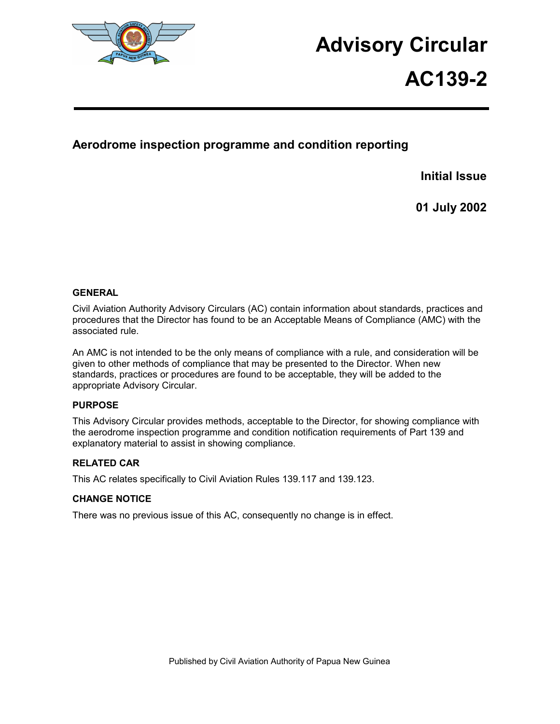

# **Advisory Circular**

# **AC139-2**

# **Aerodrome inspection programme and condition reporting**

**Initial Issue** 

**01 July 2002** 

# **GENERAL**

Civil Aviation Authority Advisory Circulars (AC) contain information about standards, practices and procedures that the Director has found to be an Acceptable Means of Compliance (AMC) with the associated rule.

An AMC is not intended to be the only means of compliance with a rule, and consideration will be given to other methods of compliance that may be presented to the Director. When new standards, practices or procedures are found to be acceptable, they will be added to the appropriate Advisory Circular.

# **PURPOSE**

This Advisory Circular provides methods, acceptable to the Director, for showing compliance with the aerodrome inspection programme and condition notification requirements of Part 139 and explanatory material to assist in showing compliance.

# **RELATED CAR**

This AC relates specifically to Civil Aviation Rules 139.117 and 139.123.

# **CHANGE NOTICE**

There was no previous issue of this AC, consequently no change is in effect.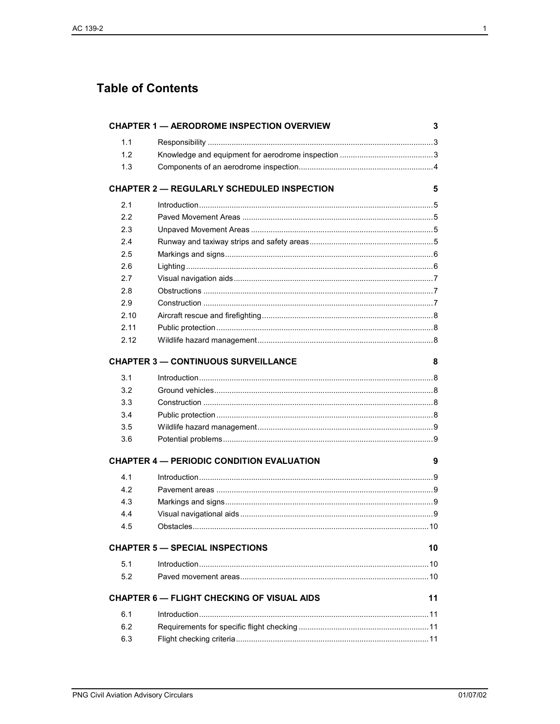# **Table of Contents**

|      | <b>CHAPTER 1 - AERODROME INSPECTION OVERVIEW</b>  | 3  |
|------|---------------------------------------------------|----|
| 1.1  |                                                   |    |
| 1.2  |                                                   |    |
| 1.3  |                                                   |    |
|      | <b>CHAPTER 2 - REGULARLY SCHEDULED INSPECTION</b> | 5  |
| 2.1  |                                                   |    |
| 2.2  |                                                   |    |
| 2.3  |                                                   |    |
| 2.4  |                                                   |    |
| 2.5  |                                                   |    |
| 2.6  |                                                   |    |
| 2.7  |                                                   |    |
| 2.8  |                                                   |    |
| 2.9  |                                                   |    |
| 2.10 |                                                   |    |
| 2.11 |                                                   |    |
| 2.12 |                                                   |    |
|      | <b>CHAPTER 3 - CONTINUOUS SURVEILLANCE</b>        | 8  |
| 3.1  |                                                   |    |
| 3.2  |                                                   |    |
| 3.3  |                                                   |    |
| 3.4  |                                                   |    |
| 3.5  |                                                   |    |
| 3.6  |                                                   |    |
|      | <b>CHAPTER 4 - PERIODIC CONDITION EVALUATION</b>  | 9  |
| 4.1  |                                                   |    |
| 4.2  |                                                   |    |
| 4.3  |                                                   |    |
| 4.4  |                                                   |    |
| 4.5  |                                                   |    |
|      | <b>CHAPTER 5 - SPECIAL INSPECTIONS</b>            | 10 |
| 5.1  |                                                   |    |
| 5.2  |                                                   |    |
|      | <b>CHAPTER 6 - FLIGHT CHECKING OF VISUAL AIDS</b> | 11 |
| 6.1  |                                                   |    |
| 6.2  |                                                   |    |
| 6.3  |                                                   |    |
|      |                                                   |    |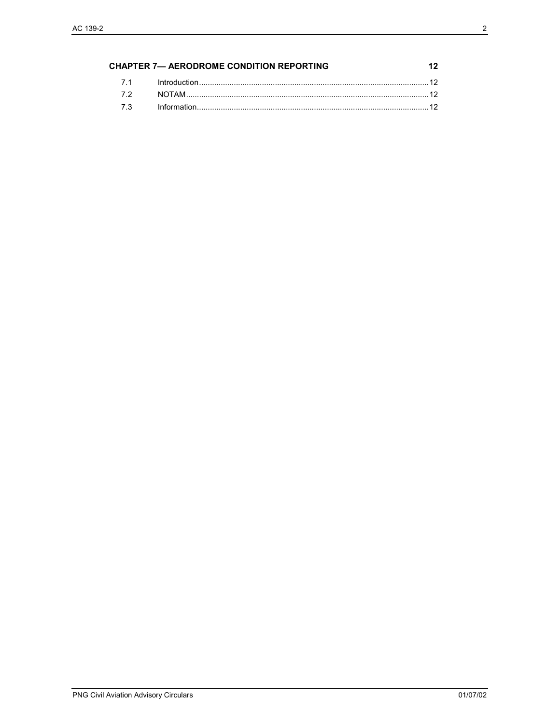| <b>CHAPTER 7- AERODROME CONDITION REPORTING</b> |  |  |
|-------------------------------------------------|--|--|
|                                                 |  |  |
|                                                 |  |  |
|                                                 |  |  |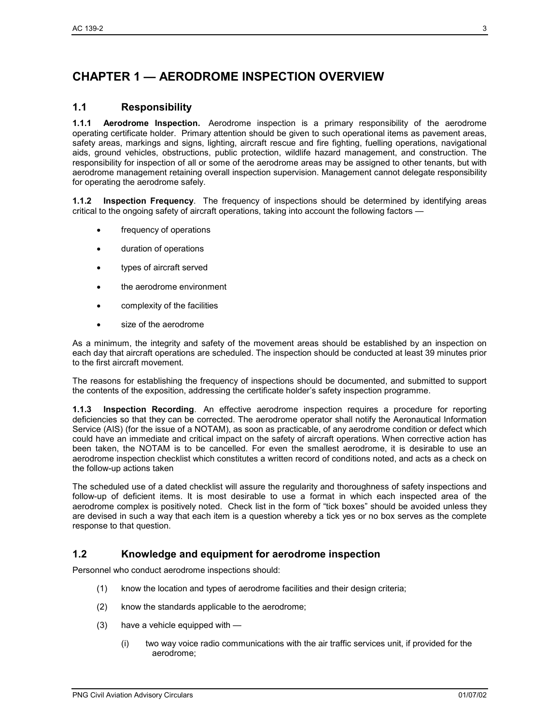# **CHAPTER 1 — AERODROME INSPECTION OVERVIEW**

# **1.1 Responsibility**

**1.1.1 Aerodrome Inspection.** Aerodrome inspection is a primary responsibility of the aerodrome operating certificate holder. Primary attention should be given to such operational items as pavement areas, safety areas, markings and signs, lighting, aircraft rescue and fire fighting, fuelling operations, navigational aids, ground vehicles, obstructions, public protection, wildlife hazard management, and construction. The responsibility for inspection of all or some of the aerodrome areas may be assigned to other tenants, but with aerodrome management retaining overall inspection supervision. Management cannot delegate responsibility for operating the aerodrome safely.

**1.1.2 Inspection Frequency**. The frequency of inspections should be determined by identifying areas critical to the ongoing safety of aircraft operations, taking into account the following factors —

- frequency of operations
- duration of operations
- types of aircraft served
- the aerodrome environment
- complexity of the facilities
- size of the aerodrome

As a minimum, the integrity and safety of the movement areas should be established by an inspection on each day that aircraft operations are scheduled. The inspection should be conducted at least 39 minutes prior to the first aircraft movement.

The reasons for establishing the frequency of inspections should be documented, and submitted to support the contents of the exposition, addressing the certificate holder's safety inspection programme.

**1.1.3 Inspection Recording**. An effective aerodrome inspection requires a procedure for reporting deficiencies so that they can be corrected. The aerodrome operator shall notify the Aeronautical Information Service (AIS) (for the issue of a NOTAM), as soon as practicable, of any aerodrome condition or defect which could have an immediate and critical impact on the safety of aircraft operations. When corrective action has been taken, the NOTAM is to be cancelled. For even the smallest aerodrome, it is desirable to use an aerodrome inspection checklist which constitutes a written record of conditions noted, and acts as a check on the follow-up actions taken

The scheduled use of a dated checklist will assure the regularity and thoroughness of safety inspections and follow-up of deficient items. It is most desirable to use a format in which each inspected area of the aerodrome complex is positively noted. Check list in the form of "tick boxes" should be avoided unless they are devised in such a way that each item is a question whereby a tick yes or no box serves as the complete response to that question.

# **1.2 Knowledge and equipment for aerodrome inspection**

Personnel who conduct aerodrome inspections should:

- (1) know the location and types of aerodrome facilities and their design criteria;
- (2) know the standards applicable to the aerodrome;
- (3) have a vehicle equipped with
	- (i) two way voice radio communications with the air traffic services unit, if provided for the aerodrome;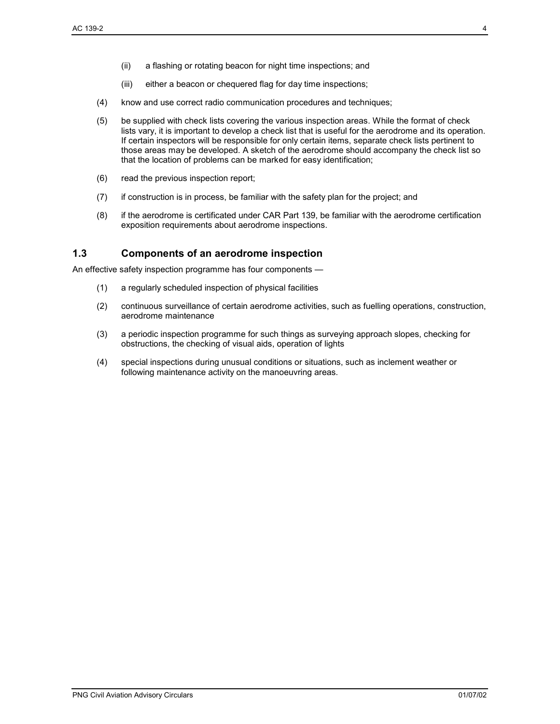- (ii) a flashing or rotating beacon for night time inspections; and
- (iii) either a beacon or chequered flag for day time inspections;
- (4) know and use correct radio communication procedures and techniques;
- (5) be supplied with check lists covering the various inspection areas. While the format of check lists vary, it is important to develop a check list that is useful for the aerodrome and its operation. If certain inspectors will be responsible for only certain items, separate check lists pertinent to those areas may be developed. A sketch of the aerodrome should accompany the check list so that the location of problems can be marked for easy identification;
- (6) read the previous inspection report;
- (7) if construction is in process, be familiar with the safety plan for the project; and
- (8) if the aerodrome is certificated under CAR Part 139, be familiar with the aerodrome certification exposition requirements about aerodrome inspections.

# **1.3 Components of an aerodrome inspection**

An effective safety inspection programme has four components —

- (1) a regularly scheduled inspection of physical facilities
- (2) continuous surveillance of certain aerodrome activities, such as fuelling operations, construction, aerodrome maintenance
- (3) a periodic inspection programme for such things as surveying approach slopes, checking for obstructions, the checking of visual aids, operation of lights
- (4) special inspections during unusual conditions or situations, such as inclement weather or following maintenance activity on the manoeuvring areas.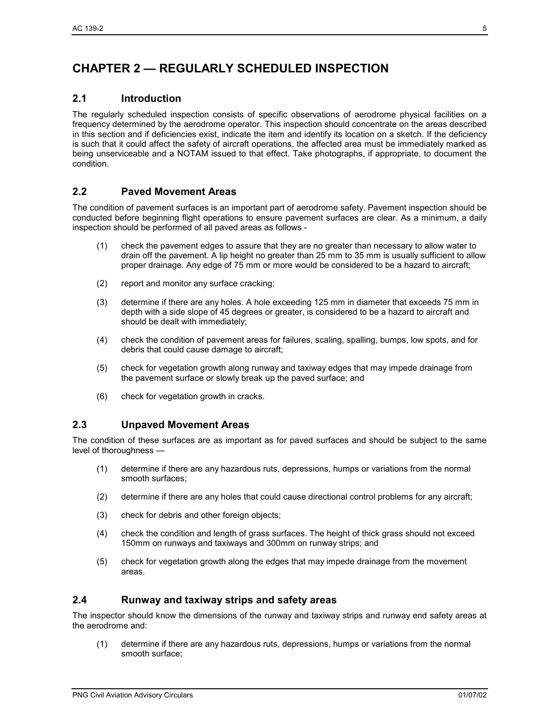# **CHAPTER 2 — REGULARLY SCHEDULED INSPECTION**

# **2.1 Introduction**

The regularly scheduled inspection consists of specific observations of aerodrome physical facilities on a frequency determined by the aerodrome operator. This inspection should concentrate on the areas described in this section and if deficiencies exist, indicate the item and identify its location on a sketch. If the deficiency is such that it could affect the safety of aircraft operations, the affected area must be immediately marked as being unserviceable and a NOTAM issued to that effect. Take photographs, if appropriate, to document the condition.

# **2.2 Paved Movement Areas**

The condition of pavement surfaces is an important part of aerodrome safety. Pavement inspection should be conducted before beginning flight operations to ensure pavement surfaces are clear. As a minimum, a daily inspection should be performed of all paved areas as follows -

- (1) check the pavement edges to assure that they are no greater than necessary to allow water to drain off the pavement. A lip height no greater than 25 mm to 35 mm is usually sufficient to allow proper drainage. Any edge of 75 mm or more would be considered to be a hazard to aircraft;
- (2) report and monitor any surface cracking;
- (3) determine if there are any holes. A hole exceeding 125 mm in diameter that exceeds 75 mm in depth with a side slope of 45 degrees or greater, is considered to be a hazard to aircraft and should be dealt with immediately;
- (4) check the condition of pavement areas for failures, scaling, spalling, bumps, low spots, and for debris that could cause damage to aircraft;
- (5) check for vegetation growth along runway and taxiway edges that may impede drainage from the pavement surface or slowly break up the paved surface; and
- (6) check for vegetation growth in cracks.

# **2.3 Unpaved Movement Areas**

The condition of these surfaces are as important as for paved surfaces and should be subject to the same level of thoroughness —

- (1) determine if there are any hazardous ruts, depressions, humps or variations from the normal smooth surfaces;
- (2) determine if there are any holes that could cause directional control problems for any aircraft;
- (3) check for debris and other foreign objects;
- (4) check the condition and length of grass surfaces. The height of thick grass should not exceed 150mm on runways and taxiways and 300mm on runway strips; and
- (5) check for vegetation growth along the edges that may impede drainage from the movement areas.

# **2.4 Runway and taxiway strips and safety areas**

The inspector should know the dimensions of the runway and taxiway strips and runway end safety areas at the aerodrome and:

(1) determine if there are any hazardous ruts, depressions, humps or variations from the normal smooth surface;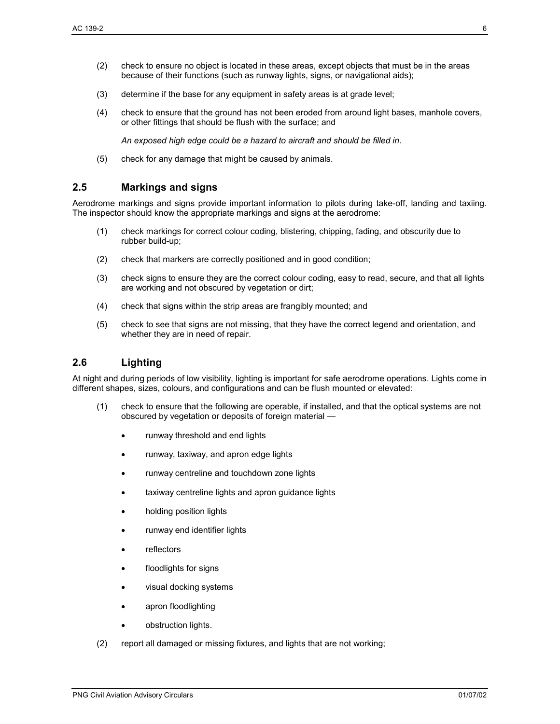- (2) check to ensure no object is located in these areas, except objects that must be in the areas because of their functions (such as runway lights, signs, or navigational aids);
- (3) determine if the base for any equipment in safety areas is at grade level;
- (4) check to ensure that the ground has not been eroded from around light bases, manhole covers, or other fittings that should be flush with the surface; and

*An exposed high edge could be a hazard to aircraft and should be filled in.* 

(5) check for any damage that might be caused by animals.

# **2.5 Markings and signs**

Aerodrome markings and signs provide important information to pilots during take-off, landing and taxiing. The inspector should know the appropriate markings and signs at the aerodrome:

- (1) check markings for correct colour coding, blistering, chipping, fading, and obscurity due to rubber build-up;
- (2) check that markers are correctly positioned and in good condition;
- (3) check signs to ensure they are the correct colour coding, easy to read, secure, and that all lights are working and not obscured by vegetation or dirt;
- (4) check that signs within the strip areas are frangibly mounted; and
- (5) check to see that signs are not missing, that they have the correct legend and orientation, and whether they are in need of repair.

# **2.6 Lighting**

At night and during periods of low visibility, lighting is important for safe aerodrome operations. Lights come in different shapes, sizes, colours, and configurations and can be flush mounted or elevated:

- (1) check to ensure that the following are operable, if installed, and that the optical systems are not obscured by vegetation or deposits of foreign material
	- runway threshold and end lights
	- runway, taxiway, and apron edge lights
	- runway centreline and touchdown zone lights
	- taxiway centreline lights and apron quidance lights
	- holding position lights
	- runway end identifier lights
	- **reflectors**
	- floodlights for signs
	- visual docking systems
	- apron floodlighting
	- obstruction lights.
- (2) report all damaged or missing fixtures, and lights that are not working;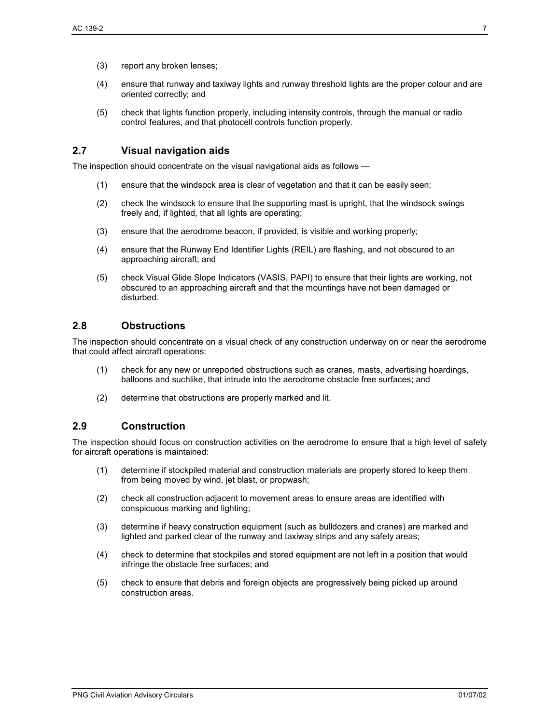- (4) ensure that runway and taxiway lights and runway threshold lights are the proper colour and are oriented correctly; and
- (5) check that lights function properly, including intensity controls, through the manual or radio control features, and that photocell controls function properly.

# **2.7 Visual navigation aids**

The inspection should concentrate on the visual navigational aids as follows —

- (1) ensure that the windsock area is clear of vegetation and that it can be easily seen;
- (2) check the windsock to ensure that the supporting mast is upright, that the windsock swings freely and, if lighted, that all lights are operating;
- (3) ensure that the aerodrome beacon, if provided, is visible and working properly;
- (4) ensure that the Runway End Identifier Lights (REIL) are flashing, and not obscured to an approaching aircraft; and
- (5) check Visual Glide Slope Indicators (VASIS, PAPI) to ensure that their lights are working, not obscured to an approaching aircraft and that the mountings have not been damaged or disturbed.

# **2.8 Obstructions**

The inspection should concentrate on a visual check of any construction underway on or near the aerodrome that could affect aircraft operations:

- (1) check for any new or unreported obstructions such as cranes, masts, advertising hoardings, balloons and suchlike, that intrude into the aerodrome obstacle free surfaces; and
- (2) determine that obstructions are properly marked and lit.

# **2.9 Construction**

The inspection should focus on construction activities on the aerodrome to ensure that a high level of safety for aircraft operations is maintained:

- (1) determine if stockpiled material and construction materials are properly stored to keep them from being moved by wind, jet blast, or propwash;
- (2) check all construction adjacent to movement areas to ensure areas are identified with conspicuous marking and lighting;
- (3) determine if heavy construction equipment (such as bulldozers and cranes) are marked and lighted and parked clear of the runway and taxiway strips and any safety areas;
- (4) check to determine that stockpiles and stored equipment are not left in a position that would infringe the obstacle free surfaces; and
- (5) check to ensure that debris and foreign objects are progressively being picked up around construction areas.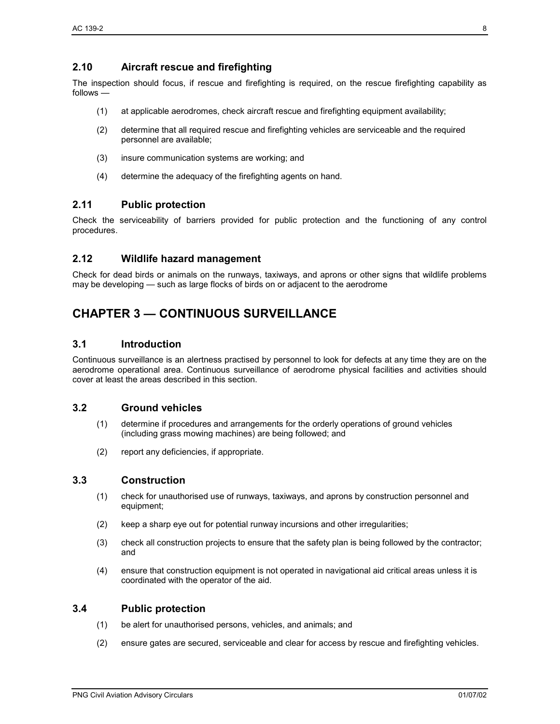# **2.10 Aircraft rescue and firefighting**

The inspection should focus, if rescue and firefighting is required, on the rescue firefighting capability as follows —

- (1) at applicable aerodromes, check aircraft rescue and firefighting equipment availability;
- (2) determine that all required rescue and firefighting vehicles are serviceable and the required personnel are available;
- (3) insure communication systems are working; and
- (4) determine the adequacy of the firefighting agents on hand.

# **2.11 Public protection**

Check the serviceability of barriers provided for public protection and the functioning of any control procedures.

# **2.12 Wildlife hazard management**

Check for dead birds or animals on the runways, taxiways, and aprons or other signs that wildlife problems may be developing — such as large flocks of birds on or adjacent to the aerodrome

# **CHAPTER 3 — CONTINUOUS SURVEILLANCE**

#### **3.1 Introduction**

Continuous surveillance is an alertness practised by personnel to look for defects at any time they are on the aerodrome operational area. Continuous surveillance of aerodrome physical facilities and activities should cover at least the areas described in this section.

# **3.2 Ground vehicles**

- (1) determine if procedures and arrangements for the orderly operations of ground vehicles (including grass mowing machines) are being followed; and
- (2) report any deficiencies, if appropriate.

# **3.3 Construction**

- (1) check for unauthorised use of runways, taxiways, and aprons by construction personnel and equipment;
- (2) keep a sharp eye out for potential runway incursions and other irregularities;
- (3) check all construction projects to ensure that the safety plan is being followed by the contractor; and
- (4) ensure that construction equipment is not operated in navigational aid critical areas unless it is coordinated with the operator of the aid.

#### **3.4 Public protection**

- (1) be alert for unauthorised persons, vehicles, and animals; and
- (2) ensure gates are secured, serviceable and clear for access by rescue and firefighting vehicles.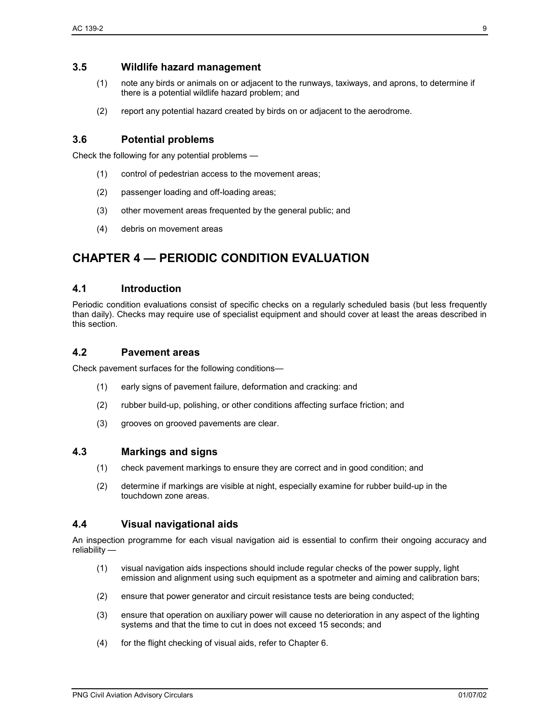# **3.5 Wildlife hazard management**

- (1) note any birds or animals on or adjacent to the runways, taxiways, and aprons, to determine if there is a potential wildlife hazard problem; and
- (2) report any potential hazard created by birds on or adjacent to the aerodrome.

# **3.6 Potential problems**

Check the following for any potential problems —

- (1) control of pedestrian access to the movement areas;
- (2) passenger loading and off-loading areas;
- (3) other movement areas frequented by the general public; and
- (4) debris on movement areas

# **CHAPTER 4 — PERIODIC CONDITION EVALUATION**

# **4.1 Introduction**

Periodic condition evaluations consist of specific checks on a regularly scheduled basis (but less frequently than daily). Checks may require use of specialist equipment and should cover at least the areas described in this section.

# **4.2 Pavement areas**

Check pavement surfaces for the following conditions—

- (1) early signs of pavement failure, deformation and cracking: and
- (2) rubber build-up, polishing, or other conditions affecting surface friction; and
- (3) grooves on grooved pavements are clear.

#### **4.3 Markings and signs**

- (1) check pavement markings to ensure they are correct and in good condition; and
- (2) determine if markings are visible at night, especially examine for rubber build-up in the touchdown zone areas.

# **4.4 Visual navigational aids**

An inspection programme for each visual navigation aid is essential to confirm their ongoing accuracy and reliability —

- (1) visual navigation aids inspections should include regular checks of the power supply, light emission and alignment using such equipment as a spotmeter and aiming and calibration bars;
- (2) ensure that power generator and circuit resistance tests are being conducted;
- (3) ensure that operation on auxiliary power will cause no deterioration in any aspect of the lighting systems and that the time to cut in does not exceed 15 seconds; and
- (4) for the flight checking of visual aids, refer to Chapter 6.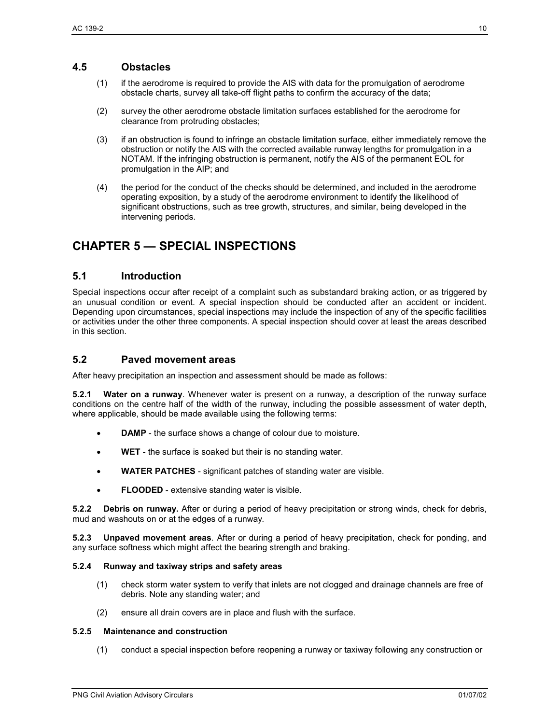# **4.5 Obstacles**

- (1) if the aerodrome is required to provide the AIS with data for the promulgation of aerodrome obstacle charts, survey all take-off flight paths to confirm the accuracy of the data;
- (2) survey the other aerodrome obstacle limitation surfaces established for the aerodrome for clearance from protruding obstacles;
- (3) if an obstruction is found to infringe an obstacle limitation surface, either immediately remove the obstruction or notify the AIS with the corrected available runway lengths for promulgation in a NOTAM. If the infringing obstruction is permanent, notify the AIS of the permanent EOL for promulgation in the AIP; and
- (4) the period for the conduct of the checks should be determined, and included in the aerodrome operating exposition, by a study of the aerodrome environment to identify the likelihood of significant obstructions, such as tree growth, structures, and similar, being developed in the intervening periods.

# **CHAPTER 5 — SPECIAL INSPECTIONS**

# **5.1 Introduction**

Special inspections occur after receipt of a complaint such as substandard braking action, or as triggered by an unusual condition or event. A special inspection should be conducted after an accident or incident. Depending upon circumstances, special inspections may include the inspection of any of the specific facilities or activities under the other three components. A special inspection should cover at least the areas described in this section.

# **5.2 Paved movement areas**

After heavy precipitation an inspection and assessment should be made as follows:

**5.2.1 Water on a runway**. Whenever water is present on a runway, a description of the runway surface conditions on the centre half of the width of the runway, including the possible assessment of water depth, where applicable, should be made available using the following terms:

- **DAMP** the surface shows a change of colour due to moisture.
- **WET**  the surface is soaked but their is no standing water.
- **WATER PATCHES** significant patches of standing water are visible.
- **FLOODED** extensive standing water is visible.

**5.2.2 Debris on runway.** After or during a period of heavy precipitation or strong winds, check for debris, mud and washouts on or at the edges of a runway.

**5.2.3 Unpaved movement areas**. After or during a period of heavy precipitation, check for ponding, and any surface softness which might affect the bearing strength and braking.

#### **5.2.4 Runway and taxiway strips and safety areas**

- (1) check storm water system to verify that inlets are not clogged and drainage channels are free of debris. Note any standing water; and
- (2) ensure all drain covers are in place and flush with the surface.

#### **5.2.5 Maintenance and construction**

(1) conduct a special inspection before reopening a runway or taxiway following any construction or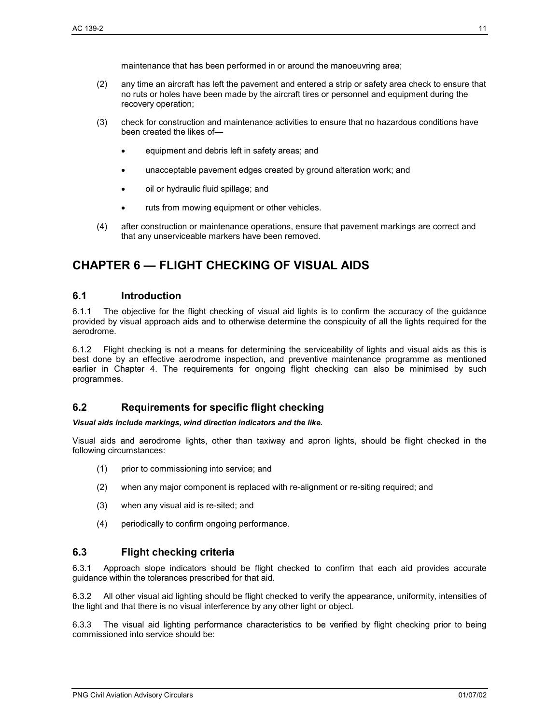maintenance that has been performed in or around the manoeuvring area;

- (2) any time an aircraft has left the pavement and entered a strip or safety area check to ensure that no ruts or holes have been made by the aircraft tires or personnel and equipment during the recovery operation;
- (3) check for construction and maintenance activities to ensure that no hazardous conditions have been created the likes of—
	- equipment and debris left in safety areas; and
	- unacceptable pavement edges created by ground alteration work; and
	- oil or hydraulic fluid spillage; and
	- ruts from mowing equipment or other vehicles.
- (4) after construction or maintenance operations, ensure that pavement markings are correct and that any unserviceable markers have been removed.

# **CHAPTER 6 — FLIGHT CHECKING OF VISUAL AIDS**

#### **6.1 Introduction**

6.1.1 The objective for the flight checking of visual aid lights is to confirm the accuracy of the guidance provided by visual approach aids and to otherwise determine the conspicuity of all the lights required for the aerodrome.

6.1.2 Flight checking is not a means for determining the serviceability of lights and visual aids as this is best done by an effective aerodrome inspection, and preventive maintenance programme as mentioned earlier in Chapter 4. The requirements for ongoing flight checking can also be minimised by such programmes.

# **6.2 Requirements for specific flight checking**

#### *Visual aids include markings, wind direction indicators and the like.*

Visual aids and aerodrome lights, other than taxiway and apron lights, should be flight checked in the following circumstances:

- (1) prior to commissioning into service; and
- (2) when any major component is replaced with re-alignment or re-siting required; and
- (3) when any visual aid is re-sited; and
- (4) periodically to confirm ongoing performance.

# **6.3 Flight checking criteria**

6.3.1 Approach slope indicators should be flight checked to confirm that each aid provides accurate guidance within the tolerances prescribed for that aid.

6.3.2 All other visual aid lighting should be flight checked to verify the appearance, uniformity, intensities of the light and that there is no visual interference by any other light or object.

6.3.3 The visual aid lighting performance characteristics to be verified by flight checking prior to being commissioned into service should be: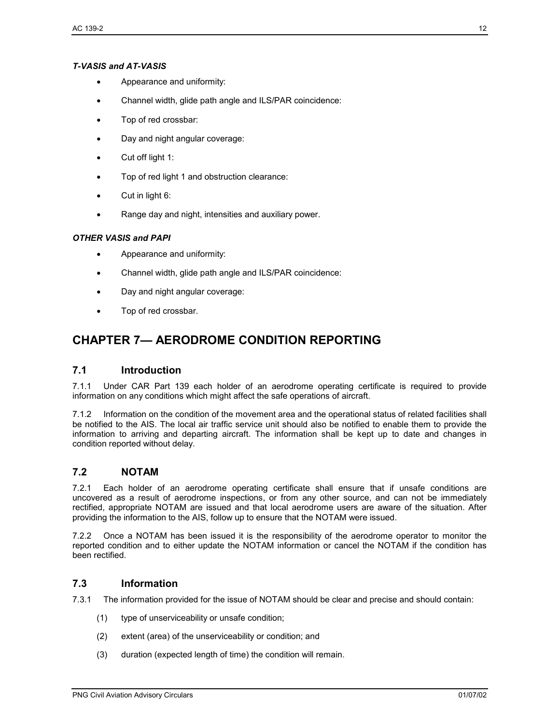#### *T-VASIS and AT-VASIS*

- Appearance and uniformity:
- Channel width, glide path angle and ILS/PAR coincidence:
- Top of red crossbar:
- Day and night angular coverage:
- Cut off light 1:
- Top of red light 1 and obstruction clearance:
- Cut in light 6:
- Range day and night, intensities and auxiliary power.

#### *OTHER VASIS and PAPI*

- Appearance and uniformity:
- Channel width, glide path angle and ILS/PAR coincidence:
- Day and night angular coverage:
- Top of red crossbar.

# **CHAPTER 7— AERODROME CONDITION REPORTING**

# **7.1 Introduction**

7.1.1 Under CAR Part 139 each holder of an aerodrome operating certificate is required to provide information on any conditions which might affect the safe operations of aircraft.

7.1.2 Information on the condition of the movement area and the operational status of related facilities shall be notified to the AIS. The local air traffic service unit should also be notified to enable them to provide the information to arriving and departing aircraft. The information shall be kept up to date and changes in condition reported without delay.

# **7.2 NOTAM**

7.2.1 Each holder of an aerodrome operating certificate shall ensure that if unsafe conditions are uncovered as a result of aerodrome inspections, or from any other source, and can not be immediately rectified, appropriate NOTAM are issued and that local aerodrome users are aware of the situation. After providing the information to the AIS, follow up to ensure that the NOTAM were issued.

7.2.2 Once a NOTAM has been issued it is the responsibility of the aerodrome operator to monitor the reported condition and to either update the NOTAM information or cancel the NOTAM if the condition has been rectified.

# **7.3 Information**

7.3.1 The information provided for the issue of NOTAM should be clear and precise and should contain:

- (1) type of unserviceability or unsafe condition;
- (2) extent (area) of the unserviceability or condition; and
- (3) duration (expected length of time) the condition will remain.